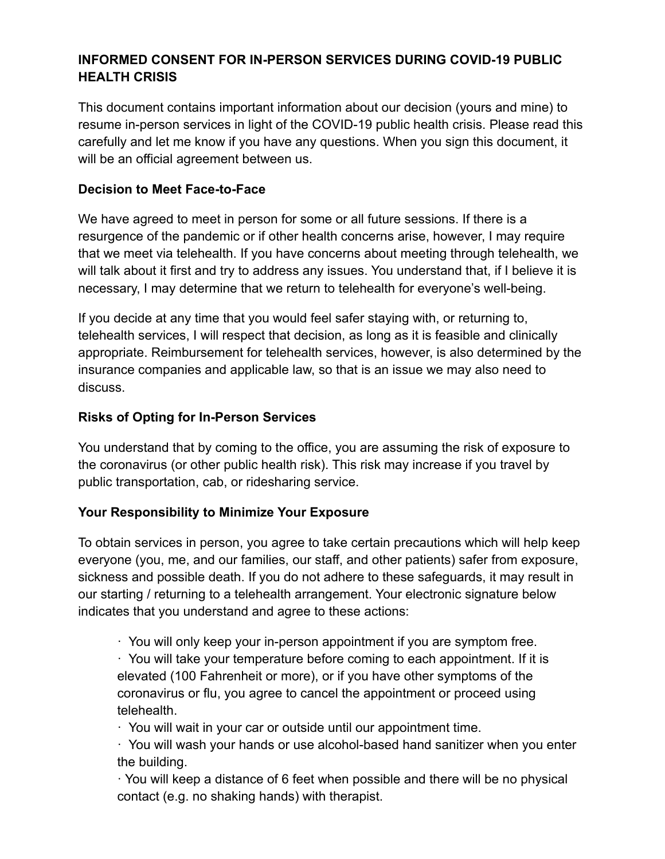# **INFORMED CONSENT FOR IN-PERSON SERVICES DURING COVID-19 PUBLIC HEALTH CRISIS**

This document contains important information about our decision (yours and mine) to resume in-person services in light of the COVID-19 public health crisis. Please read this carefully and let me know if you have any questions. When you sign this document, it will be an official agreement between us.

### **Decision to Meet Face-to-Face**

We have agreed to meet in person for some or all future sessions. If there is a resurgence of the pandemic or if other health concerns arise, however, I may require that we meet via telehealth. If you have concerns about meeting through telehealth, we will talk about it first and try to address any issues. You understand that, if I believe it is necessary, I may determine that we return to telehealth for everyone's well-being.

If you decide at any time that you would feel safer staying with, or returning to, telehealth services, I will respect that decision, as long as it is feasible and clinically appropriate. Reimbursement for telehealth services, however, is also determined by the insurance companies and applicable law, so that is an issue we may also need to discuss.

### **Risks of Opting for In-Person Services**

You understand that by coming to the office, you are assuming the risk of exposure to the coronavirus (or other public health risk). This risk may increase if you travel by public transportation, cab, or ridesharing service.

# **Your Responsibility to Minimize Your Exposure**

To obtain services in person, you agree to take certain precautions which will help keep everyone (you, me, and our families, our staff, and other patients) safer from exposure, sickness and possible death. If you do not adhere to these safeguards, it may result in our starting / returning to a telehealth arrangement. Your electronic signature below indicates that you understand and agree to these actions:

· You will only keep your in-person appointment if you are symptom free.

· You will take your temperature before coming to each appointment. If it is elevated (100 Fahrenheit or more), or if you have other symptoms of the coronavirus or flu, you agree to cancel the appointment or proceed using telehealth.

· You will wait in your car or outside until our appointment time.

· You will wash your hands or use alcohol-based hand sanitizer when you enter the building.

· You will keep a distance of 6 feet when possible and there will be no physical contact (e.g. no shaking hands) with therapist.